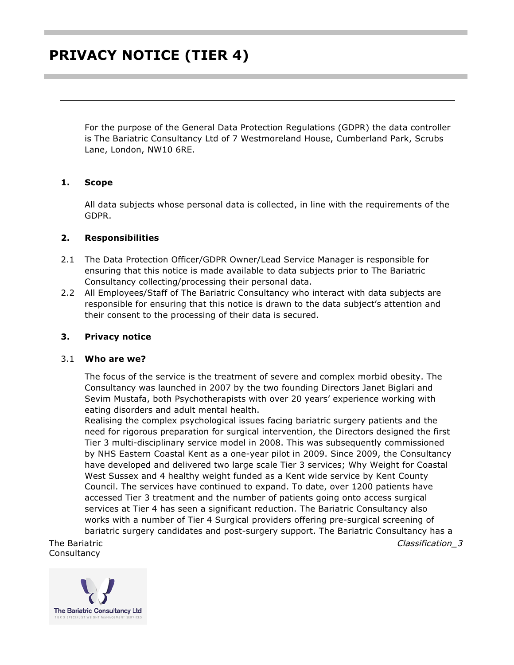For the purpose of the General Data Protection Regulations (GDPR) the data controller is The Bariatric Consultancy Ltd of 7 Westmoreland House, Cumberland Park, Scrubs Lane, London, NW10 6RE.

## **1. Scope**

All data subjects whose personal data is collected, in line with the requirements of the GDPR.

### **2. Responsibilities**

- 2.1 The Data Protection Officer/GDPR Owner/Lead Service Manager is responsible for ensuring that this notice is made available to data subjects prior to The Bariatric Consultancy collecting/processing their personal data.
- 2.2 All Employees/Staff of The Bariatric Consultancy who interact with data subjects are responsible for ensuring that this notice is drawn to the data subject's attention and their consent to the processing of their data is secured.

## **3. Privacy notice**

#### 3.1 **Who are we?**

The focus of the service is the treatment of severe and complex morbid obesity. The Consultancy was launched in 2007 by the two founding Directors Janet Biglari and Sevim Mustafa, both Psychotherapists with over 20 years' experience working with eating disorders and adult mental health.

Realising the complex psychological issues facing bariatric surgery patients and the need for rigorous preparation for surgical intervention, the Directors designed the first Tier 3 multi-disciplinary service model in 2008. This was subsequently commissioned by NHS Eastern Coastal Kent as a one-year pilot in 2009. Since 2009, the Consultancy have developed and delivered two large scale Tier 3 services; Why Weight for Coastal West Sussex and 4 healthy weight funded as a Kent wide service by Kent County Council. The services have continued to expand. To date, over 1200 patients have accessed Tier 3 treatment and the number of patients going onto access surgical services at Tier 4 has seen a significant reduction. The Bariatric Consultancy also works with a number of Tier 4 Surgical providers offering pre-surgical screening of bariatric surgery candidates and post-surgery support. The Bariatric Consultancy has a

The Bariatric **Consultancy** 

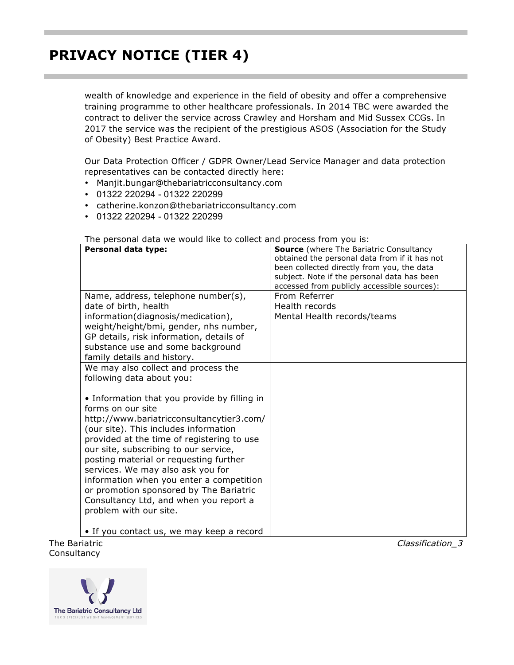wealth of knowledge and experience in the field of obesity and offer a comprehensive training programme to other healthcare professionals. In 2014 TBC were awarded the contract to deliver the service across Crawley and Horsham and Mid Sussex CCGs. In 2017 the service was the recipient of the prestigious ASOS (Association for the Study of Obesity) Best Practice Award.

Our Data Protection Officer / GDPR Owner/Lead Service Manager and data protection representatives can be contacted directly here:

- Manjit.bungar@thebariatricconsultancy.com
- 01322 220294 01322 220299
- [catherine.konzon@thebariatricconsultancy.com](mailto:catherine.konzon@thebariatricconsultancy.com)
- 01322 220294 01322 220299

The personal data we would like to collect and process from you is:

| Personal data type:                                                                                                                                                                                                                                                                                                                                                                                                                                                                      | <b>Source</b> (where The Bariatric Consultancy<br>obtained the personal data from if it has not<br>been collected directly from you, the data<br>subject. Note if the personal data has been<br>accessed from publicly accessible sources): |
|------------------------------------------------------------------------------------------------------------------------------------------------------------------------------------------------------------------------------------------------------------------------------------------------------------------------------------------------------------------------------------------------------------------------------------------------------------------------------------------|---------------------------------------------------------------------------------------------------------------------------------------------------------------------------------------------------------------------------------------------|
| Name, address, telephone number(s),                                                                                                                                                                                                                                                                                                                                                                                                                                                      | From Referrer                                                                                                                                                                                                                               |
| date of birth, health                                                                                                                                                                                                                                                                                                                                                                                                                                                                    | Health records                                                                                                                                                                                                                              |
| information(diagnosis/medication),<br>weight/height/bmi, gender, nhs number,<br>GP details, risk information, details of<br>substance use and some background<br>family details and history.                                                                                                                                                                                                                                                                                             | Mental Health records/teams                                                                                                                                                                                                                 |
| We may also collect and process the                                                                                                                                                                                                                                                                                                                                                                                                                                                      |                                                                                                                                                                                                                                             |
| following data about you:                                                                                                                                                                                                                                                                                                                                                                                                                                                                |                                                                                                                                                                                                                                             |
| • Information that you provide by filling in<br>forms on our site<br>http://www.bariatricconsultancytier3.com/<br>(our site). This includes information<br>provided at the time of registering to use<br>our site, subscribing to our service,<br>posting material or requesting further<br>services. We may also ask you for<br>information when you enter a competition<br>or promotion sponsored by The Bariatric<br>Consultancy Ltd, and when you report a<br>problem with our site. |                                                                                                                                                                                                                                             |
| • If you contact us, we may keep a record                                                                                                                                                                                                                                                                                                                                                                                                                                                |                                                                                                                                                                                                                                             |

The Bariatric Consultancy Ltd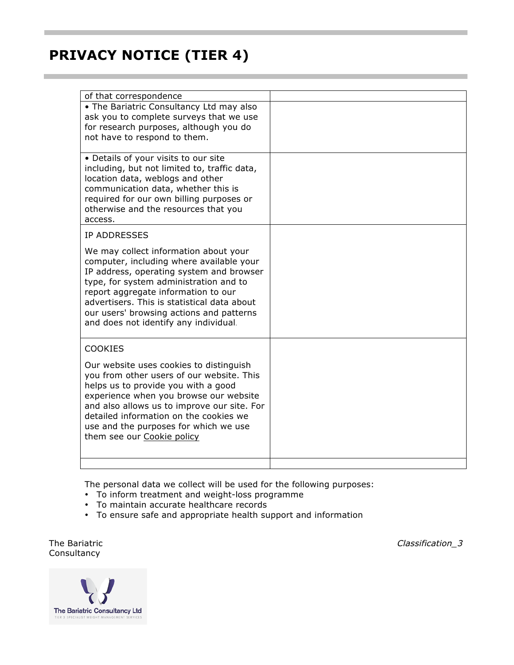| of that correspondence                                                                |  |
|---------------------------------------------------------------------------------------|--|
| • The Bariatric Consultancy Ltd may also                                              |  |
| ask you to complete surveys that we use                                               |  |
| for research purposes, although you do                                                |  |
| not have to respond to them.                                                          |  |
| • Details of your visits to our site                                                  |  |
| including, but not limited to, traffic data,                                          |  |
| location data, weblogs and other                                                      |  |
| communication data, whether this is                                                   |  |
| required for our own billing purposes or                                              |  |
| otherwise and the resources that you                                                  |  |
| access.                                                                               |  |
| <b>IP ADDRESSES</b>                                                                   |  |
| We may collect information about your                                                 |  |
| computer, including where available your                                              |  |
| IP address, operating system and browser                                              |  |
| type, for system administration and to<br>report aggregate information to our         |  |
| advertisers. This is statistical data about                                           |  |
| our users' browsing actions and patterns                                              |  |
| and does not identify any individual.                                                 |  |
|                                                                                       |  |
| <b>COOKIES</b>                                                                        |  |
| Our website uses cookies to distinguish                                               |  |
| you from other users of our website. This                                             |  |
| helps us to provide you with a good                                                   |  |
| experience when you browse our website<br>and also allows us to improve our site. For |  |
| detailed information on the cookies we                                                |  |
| use and the purposes for which we use                                                 |  |
| them see our Cookie policy                                                            |  |
|                                                                                       |  |
|                                                                                       |  |

The personal data we collect will be used for the following purposes:

- To inform treatment and weight-loss programme
- To maintain accurate healthcare records
- To ensure safe and appropriate health support and information

The Bariatric **Consultancy** 

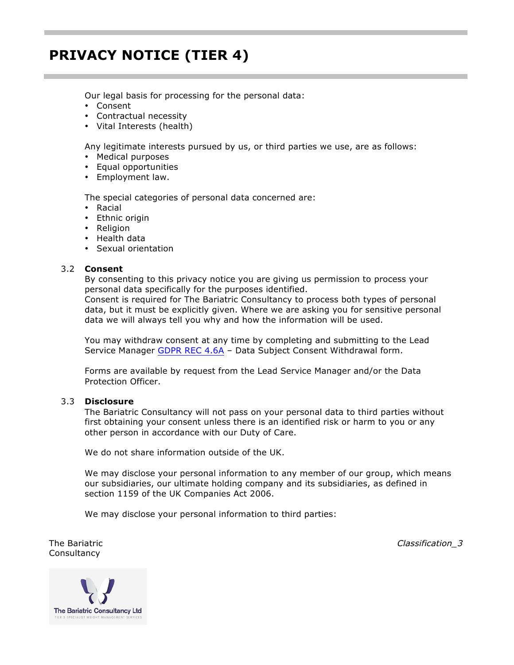Our legal basis for processing for the personal data:

- Consent
- Contractual necessity
- Vital Interests (health)

Any legitimate interests pursued by us, or third parties we use, are as follows:

- Medical purposes
- Equal opportunities
- Employment law.

The special categories of personal data concerned are:

- Racial
- Ethnic origin
- Religion
- Health data
- Sexual orientation

#### 3.2 **Consent**

By consenting to this privacy notice you are giving us permission to process your personal data specifically for the purposes identified.

Consent is required for The Bariatric Consultancy to process both types of personal data, but it must be explicitly given. Where we are asking you for sensitive personal data we will always tell you why and how the information will be used.

You may withdraw consent at any time by completing and submitting to the Lead Service Manager GDPR REC 4.6A - Data Subject Consent Withdrawal form.

Forms are available by request from the Lead Service Manager and/or the Data Protection Officer.

#### 3.3 **Disclosure**

The Bariatric Consultancy will not pass on your personal data to third parties without first obtaining your consent unless there is an identified risk or harm to you or any other person in accordance with our Duty of Care.

We do not share information outside of the UK.

We may disclose your personal information to any member of our group, which means our subsidiaries, our ultimate holding company and its subsidiaries, as defined in section 1159 of the UK Companies Act 2006.

We may disclose your personal information to third parties:

The Bariatric **Consultancy** 

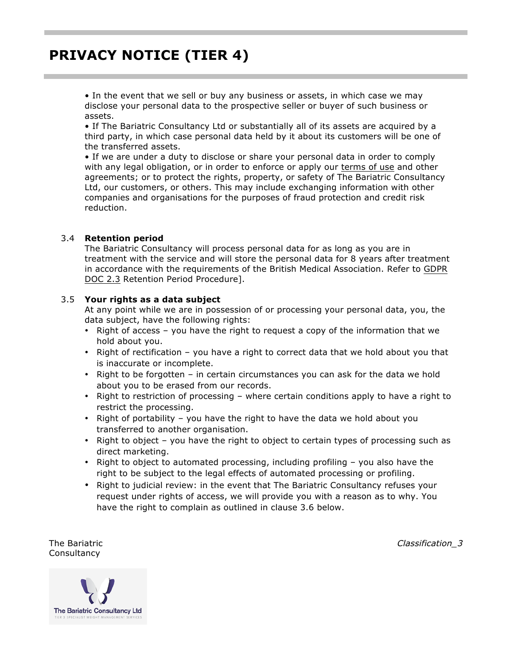• In the event that we sell or buy any business or assets, in which case we may disclose your personal data to the prospective seller or buyer of such business or assets.

• If The Bariatric Consultancy Ltd or substantially all of its assets are acquired by a third party, in which case personal data held by it about its customers will be one of the transferred assets.

• If we are under a duty to disclose or share your personal data in order to comply with any legal obligation, or in order to enforce or apply our [terms of use](http://bariatricconsultancytier3.com/terms.html) and other agreements; or to protect the rights, property, or safety of The Bariatric Consultancy Ltd, our customers, or others. This may include exchanging information with other companies and organisations for the purposes of fraud protection and credit risk reduction.

### 3.4 **Retention period**

The Bariatric Consultancy will process personal data for as long as you are in treatment with the service and will store the personal data for 8 years after treatment in accordance with the requirements of the British Medical Association. Refer to GDPR DOC 2.3 Retention Period Procedure].

### 3.5 **Your rights as a data subject**

At any point while we are in possession of or processing your personal data, you, the data subject, have the following rights:

- Right of access you have the right to request a copy of the information that we hold about you.
- Right of rectification you have a right to correct data that we hold about you that is inaccurate or incomplete.
- Right to be forgotten in certain circumstances you can ask for the data we hold about you to be erased from our records.
- Right to restriction of processing where certain conditions apply to have a right to restrict the processing.
- Right of portability you have the right to have the data we hold about you transferred to another organisation.
- Right to object you have the right to object to certain types of processing such as direct marketing.
- Right to object to automated processing, including profiling you also have the right to be subject to the legal effects of automated processing or profiling.
- Right to judicial review: in the event that The Bariatric Consultancy refuses your request under rights of access, we will provide you with a reason as to why. You have the right to complain as outlined in clause 3.6 below.

The Bariatric **Consultancy** 

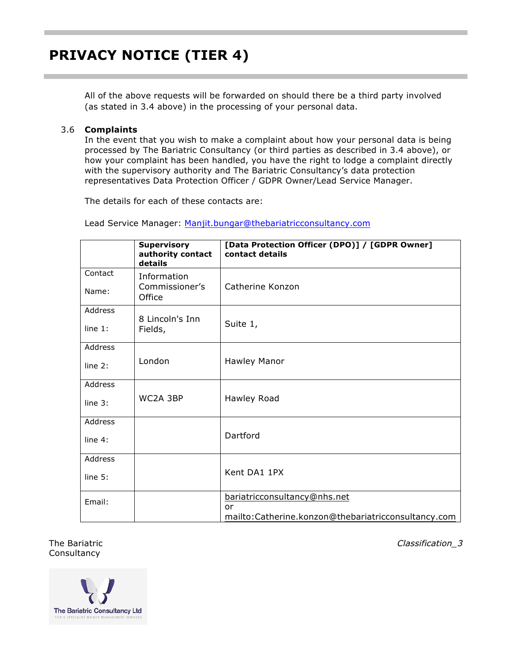All of the above requests will be forwarded on should there be a third party involved (as stated in 3.4 above) in the processing of your personal data.

### 3.6 **Complaints**

In the event that you wish to make a complaint about how your personal data is being processed by The Bariatric Consultancy (or third parties as described in 3.4 above), or how your complaint has been handled, you have the right to lodge a complaint directly with the supervisory authority and The Bariatric Consultancy's data protection representatives Data Protection Officer / GDPR Owner/Lead Service Manager.

The details for each of these contacts are:

Lead Service Manager: [Manjit.bungar@thebariatricconsultancy.com](mailto:Manjit.bungar@thebariatricconsultancy.com)

|                  | <b>Supervisory</b><br>authority contact<br>details | [Data Protection Officer (DPO)] / [GDPR Owner]<br>contact details                         |
|------------------|----------------------------------------------------|-------------------------------------------------------------------------------------------|
| Contact<br>Name: | Information<br>Commissioner's                      | Catherine Konzon                                                                          |
| Address          | Office                                             |                                                                                           |
| line $1$ :       | 8 Lincoln's Inn<br>Fields,                         | Suite 1,                                                                                  |
| Address          |                                                    |                                                                                           |
| line $2:$        | London                                             | Hawley Manor                                                                              |
| Address          |                                                    |                                                                                           |
| line $3:$        | WC2A 3BP                                           | Hawley Road                                                                               |
| Address          |                                                    |                                                                                           |
| line $4:$        |                                                    | Dartford                                                                                  |
| Address          |                                                    |                                                                                           |
| line $5:$        |                                                    | Kent DA1 1PX                                                                              |
| Email:           |                                                    | bariatricconsultancy@nhs.net<br>or<br>mailto:Catherine.konzon@thebariatricconsultancy.com |

The Bariatric **Consultancy**